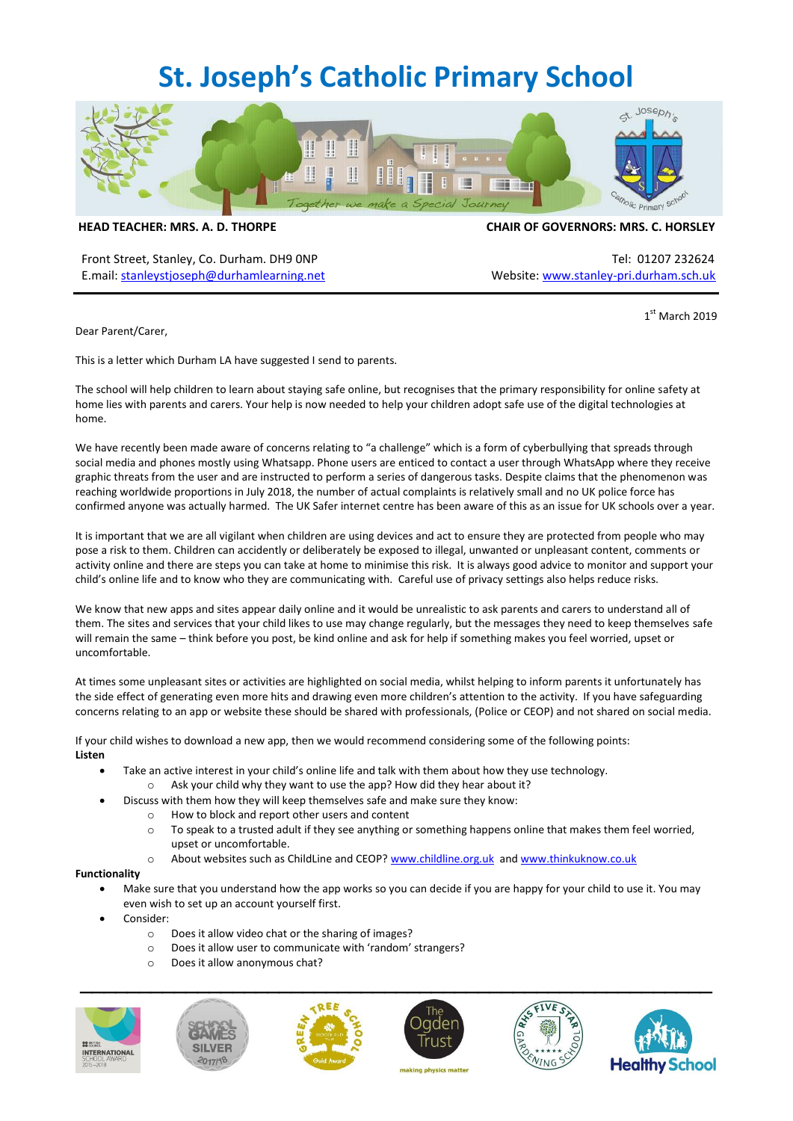# **St. Joseph's Catholic Primary School**



**HEAD TEACHER: MRS. A. D. THORPE CHAIR OF GOVERNORS: MRS. C. HORSLEY**

Front Street, Stanley, Co. Durham. DH9 ONP Tel: 01207 232624 E.mail: [stanleystjoseph@durhamlearning.net](mailto:stanleystjoseph@durhamlearning.net) Website[: www.stanley-pri.durham.sch.uk](http://www.stanley-pri.durham.sch.uk/)

 1  $1<sup>st</sup>$  March 2019

Dear Parent/Carer,

This is a letter which Durham LA have suggested I send to parents.

The school will help children to learn about staying safe online, but recognises that the primary responsibility for online safety at home lies with parents and carers. Your help is now needed to help your children adopt safe use of the digital technologies at home.

We have recently been made aware of concerns relating to "a challenge" which is a form of cyberbullying that spreads through social media and phones mostly using Whatsapp. Phone users are enticed to contact a user through WhatsApp where they receive graphic threats from the user and are instructed to perform a series of dangerous tasks. Despite claims that the phenomenon was reaching worldwide proportions in July 2018, the number of actual complaints is relatively small and no UK police force has confirmed anyone was actually harmed. The UK Safer internet centre has been aware of this as an issue for UK schools over a year.

It is important that we are all vigilant when children are using devices and act to ensure they are protected from people who may pose a risk to them. Children can accidently or deliberately be exposed to illegal, unwanted or unpleasant content, comments or activity online and there are steps you can take at home to minimise this risk. It is always good advice to monitor and support your child's online life and to know who they are communicating with. Careful use of privacy settings also helps reduce risks.

We know that new apps and sites appear daily online and it would be unrealistic to ask parents and carers to understand all of them. The sites and services that your child likes to use may change regularly, but the messages they need to keep themselves safe will remain the same – think before you post, be kind online and ask for help if something makes you feel worried, upset or uncomfortable.

At times some unpleasant sites or activities are highlighted on social media, whilst helping to inform parents it unfortunately has the side effect of generating even more hits and drawing even more children's attention to the activity. If you have safeguarding concerns relating to an app or website these should be shared with professionals, (Police or CEOP) and not shared on social media.

If your child wishes to download a new app, then we would recommend considering some of the following points: **Listen**

- Take an active interest in your child's online life and talk with them about how they use technology.
	- $\circ$  Ask your child why they want to use the app? How did they hear about it?
- Discuss with them how they will keep themselves safe and make sure they know:
	- o How to block and report other users and content
	- $\circ$  To speak to a trusted adult if they see anything or something happens online that makes them feel worried, upset or uncomfortable.
	- o About websites such as ChildLine and CEOP[? www.childline.org.uk](http://www.childline.org.uk/) an[d www.thinkuknow.co.uk](http://www.thinkuknow.co.uk/)

#### **Functionality**

- Make sure that you understand how the app works so you can decide if you are happy for your child to use it. You may even wish to set up an account yourself first.
- Consider:
	- o Does it allow video chat or the sharing of images?
	- o Does it allow user to communicate with 'random' strangers?
	- o Does it allow anonymous chat?